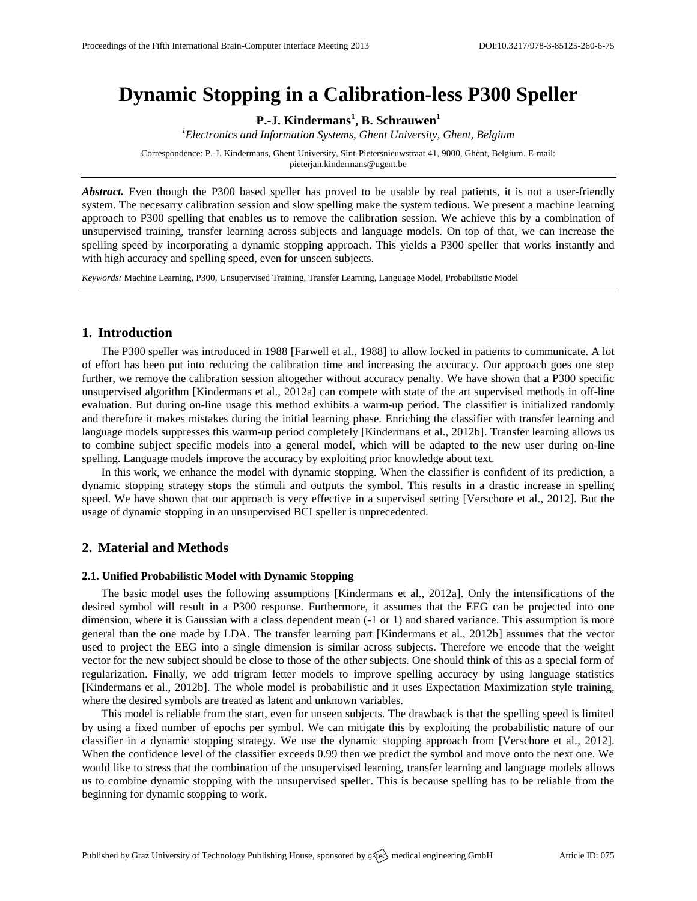# **Dynamic Stopping in a Calibration-less P300 Speller**

**P.-J. Kindermans<sup>1</sup> , B. Schrauwen<sup>1</sup>**

*<sup>1</sup>Electronics and Information Systems, Ghent University, Ghent, Belgium*

Correspondence: P.-J. Kindermans, Ghent University, Sint-Pietersnieuwstraat 41, 9000, Ghent, Belgium. E-mail: [pieterjan.kindermans@ugent.be](mailto:pieterjan.kindermans@ugent.be)

Abstract. Even though the P300 based speller has proved to be usable by real patients, it is not a user-friendly system. The necesarry calibration session and slow spelling make the system tedious. We present a machine learning approach to P300 spelling that enables us to remove the calibration session. We achieve this by a combination of unsupervised training, transfer learning across subjects and language models. On top of that, we can increase the spelling speed by incorporating a dynamic stopping approach. This yields a P300 speller that works instantly and with high accuracy and spelling speed, even for unseen subjects.

*Keywords:* Machine Learning, P300, Unsupervised Training, Transfer Learning, Language Model, Probabilistic Model

## **1. Introduction**

The P300 speller was introduced in 1988 [Farwell et al., 1988] to allow locked in patients to communicate. A lot of effort has been put into reducing the calibration time and increasing the accuracy. Our approach goes one step further, we remove the calibration session altogether without accuracy penalty. We have shown that a P300 specific unsupervised algorithm [Kindermans et al., 2012a] can compete with state of the art supervised methods in off-line evaluation. But during on-line usage this method exhibits a warm-up period. The classifier is initialized randomly and therefore it makes mistakes during the initial learning phase. Enriching the classifier with transfer learning and language models suppresses this warm-up period completely [Kindermans et al., 2012b]. Transfer learning allows us to combine subject specific models into a general model, which will be adapted to the new user during on-line spelling. Language models improve the accuracy by exploiting prior knowledge about text.

In this work, we enhance the model with dynamic stopping. When the classifier is confident of its prediction, a dynamic stopping strategy stops the stimuli and outputs the symbol. This results in a drastic increase in spelling speed. We have shown that our approach is very effective in a supervised setting [Verschore et al., 2012]. But the usage of dynamic stopping in an unsupervised BCI speller is unprecedented.

# **2. Material and Methods**

### **2.1. Unified Probabilistic Model with Dynamic Stopping**

The basic model uses the following assumptions [Kindermans et al., 2012a]. Only the intensifications of the desired symbol will result in a P300 response. Furthermore, it assumes that the EEG can be projected into one dimension, where it is Gaussian with a class dependent mean (-1 or 1) and shared variance. This assumption is more general than the one made by LDA. The transfer learning part [Kindermans et al., 2012b] assumes that the vector used to project the EEG into a single dimension is similar across subjects. Therefore we encode that the weight vector for the new subject should be close to those of the other subjects. One should think of this as a special form of regularization. Finally, we add trigram letter models to improve spelling accuracy by using language statistics [Kindermans et al., 2012b]. The whole model is probabilistic and it uses Expectation Maximization style training, where the desired symbols are treated as latent and unknown variables.

This model is reliable from the start, even for unseen subjects. The drawback is that the spelling speed is limited by using a fixed number of epochs per symbol. We can mitigate this by exploiting the probabilistic nature of our classifier in a dynamic stopping strategy. We use the dynamic stopping approach from [Verschore et al., 2012]. When the confidence level of the classifier exceeds 0.99 then we predict the symbol and move onto the next one. We would like to stress that the combination of the unsupervised learning, transfer learning and language models allows us to combine dynamic stopping with the unsupervised speller. This is because spelling has to be reliable from the beginning for dynamic stopping to work.